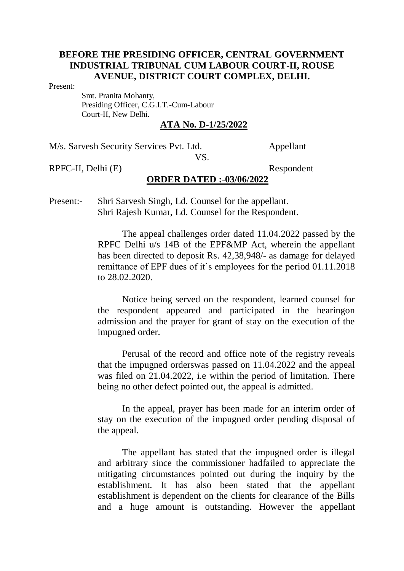#### Present:

 Smt. Pranita Mohanty, Presiding Officer, C.G.I.T.-Cum-Labour Court-II, New Delhi.

## **ATA No. D-1/25/2022**

M/s. Sarvesh Security Services Pvt. Ltd. Appellant

VS.

RPFC-II, Delhi (E) Respondent

### **ORDER DATED :-03/06/2022**

Present:- Shri Sarvesh Singh, Ld. Counsel for the appellant. Shri Rajesh Kumar, Ld. Counsel for the Respondent.

> The appeal challenges order dated 11.04.2022 passed by the RPFC Delhi u/s 14B of the EPF&MP Act, wherein the appellant has been directed to deposit Rs. 42,38,948/- as damage for delayed remittance of EPF dues of it's employees for the period 01.11.2018 to 28.02.2020.

> Notice being served on the respondent, learned counsel for the respondent appeared and participated in the hearingon admission and the prayer for grant of stay on the execution of the impugned order.

> Perusal of the record and office note of the registry reveals that the impugned orderswas passed on 11.04.2022 and the appeal was filed on 21.04.2022, i.e within the period of limitation. There being no other defect pointed out, the appeal is admitted.

> In the appeal, prayer has been made for an interim order of stay on the execution of the impugned order pending disposal of the appeal.

> The appellant has stated that the impugned order is illegal and arbitrary since the commissioner hadfailed to appreciate the mitigating circumstances pointed out during the inquiry by the establishment. It has also been stated that the appellant establishment is dependent on the clients for clearance of the Bills and a huge amount is outstanding. However the appellant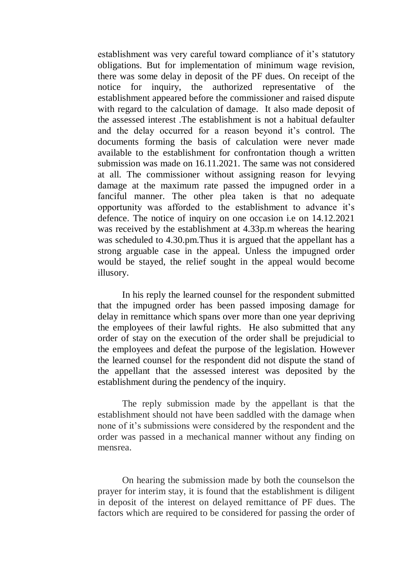establishment was very careful toward compliance of it's statutory obligations. But for implementation of minimum wage revision, there was some delay in deposit of the PF dues. On receipt of the notice for inquiry, the authorized representative of the establishment appeared before the commissioner and raised dispute with regard to the calculation of damage. It also made deposit of the assessed interest .The establishment is not a habitual defaulter and the delay occurred for a reason beyond it's control. The documents forming the basis of calculation were never made available to the establishment for confrontation though a written submission was made on 16.11.2021. The same was not considered at all. The commissioner without assigning reason for levying damage at the maximum rate passed the impugned order in a fanciful manner. The other plea taken is that no adequate opportunity was afforded to the establishment to advance it's defence. The notice of inquiry on one occasion i.e on 14.12.2021 was received by the establishment at 4.33p.m whereas the hearing was scheduled to 4.30.pm.Thus it is argued that the appellant has a strong arguable case in the appeal. Unless the impugned order would be stayed, the relief sought in the appeal would become illusory.

In his reply the learned counsel for the respondent submitted that the impugned order has been passed imposing damage for delay in remittance which spans over more than one year depriving the employees of their lawful rights. He also submitted that any order of stay on the execution of the order shall be prejudicial to the employees and defeat the purpose of the legislation. However the learned counsel for the respondent did not dispute the stand of the appellant that the assessed interest was deposited by the establishment during the pendency of the inquiry.

The reply submission made by the appellant is that the establishment should not have been saddled with the damage when none of it's submissions were considered by the respondent and the order was passed in a mechanical manner without any finding on mensrea.

On hearing the submission made by both the counselson the prayer for interim stay, it is found that the establishment is diligent in deposit of the interest on delayed remittance of PF dues. The factors which are required to be considered for passing the order of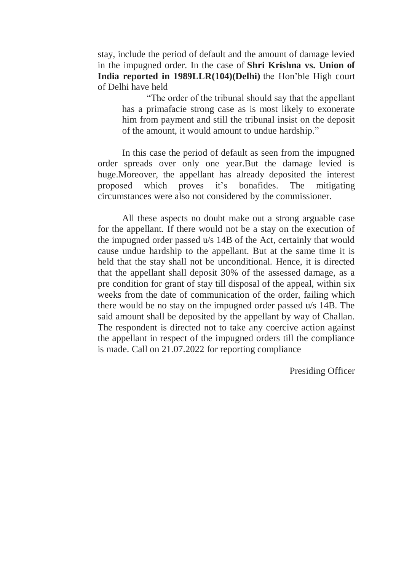stay, include the period of default and the amount of damage levied in the impugned order. In the case of **Shri Krishna vs. Union of India reported in 1989LLR(104)(Delhi)** the Hon'ble High court of Delhi have held

"The order of the tribunal should say that the appellant has a primafacie strong case as is most likely to exonerate him from payment and still the tribunal insist on the deposit of the amount, it would amount to undue hardship."

In this case the period of default as seen from the impugned order spreads over only one year.But the damage levied is huge.Moreover, the appellant has already deposited the interest proposed which proves it's bonafides. The mitigating circumstances were also not considered by the commissioner.

All these aspects no doubt make out a strong arguable case for the appellant. If there would not be a stay on the execution of the impugned order passed u/s 14B of the Act, certainly that would cause undue hardship to the appellant. But at the same time it is held that the stay shall not be unconditional. Hence, it is directed that the appellant shall deposit 30% of the assessed damage, as a pre condition for grant of stay till disposal of the appeal, within six weeks from the date of communication of the order, failing which there would be no stay on the impugned order passed u/s 14B. The said amount shall be deposited by the appellant by way of Challan. The respondent is directed not to take any coercive action against the appellant in respect of the impugned orders till the compliance is made. Call on 21.07.2022 for reporting compliance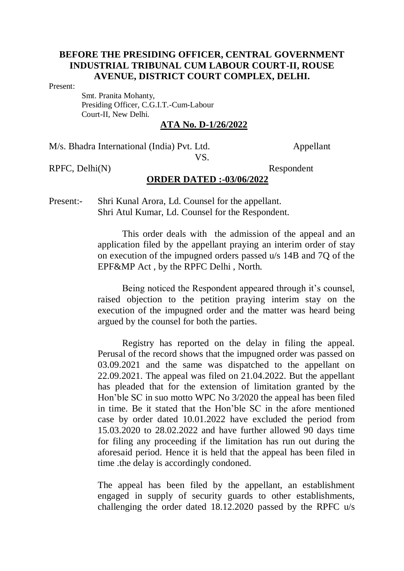Present:

 Smt. Pranita Mohanty, Presiding Officer, C.G.I.T.-Cum-Labour Court-II, New Delhi.

## **ATA No. D-1/26/2022**

M/s. Bhadra International (India) Pvt. Ltd. Appellant

VS.

RPFC, Delhi(N) Respondent

### **ORDER DATED :-03/06/2022**

Present:- Shri Kunal Arora, Ld. Counsel for the appellant. Shri Atul Kumar, Ld. Counsel for the Respondent.

> This order deals with the admission of the appeal and an application filed by the appellant praying an interim order of stay on execution of the impugned orders passed u/s 14B and 7Q of the EPF&MP Act , by the RPFC Delhi , North.

> Being noticed the Respondent appeared through it's counsel, raised objection to the petition praying interim stay on the execution of the impugned order and the matter was heard being argued by the counsel for both the parties.

> Registry has reported on the delay in filing the appeal. Perusal of the record shows that the impugned order was passed on 03.09.2021 and the same was dispatched to the appellant on 22.09.2021. The appeal was filed on 21.04.2022. But the appellant has pleaded that for the extension of limitation granted by the Hon'ble SC in suo motto WPC No 3/2020 the appeal has been filed in time. Be it stated that the Hon'ble SC in the afore mentioned case by order dated 10.01.2022 have excluded the period from 15.03.2020 to 28.02.2022 and have further allowed 90 days time for filing any proceeding if the limitation has run out during the aforesaid period. Hence it is held that the appeal has been filed in time .the delay is accordingly condoned.

> The appeal has been filed by the appellant, an establishment engaged in supply of security guards to other establishments, challenging the order dated 18.12.2020 passed by the RPFC u/s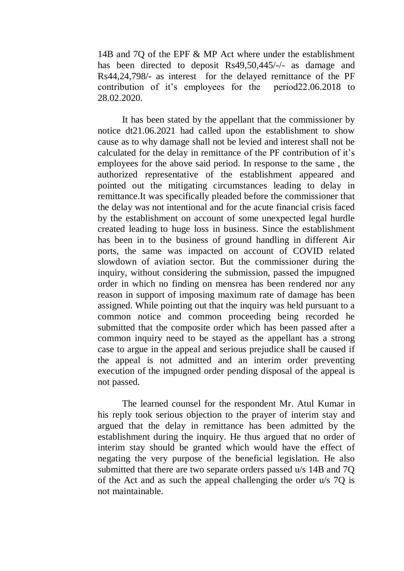14B and 7Q of the EPF & MP Act where under the establishment has been directed to deposit Rs49,50,445/-/- as damage and Rs44,24,798/- as interest for the delayed remittance of the PF contribution of it's employees for the period22.06.2018 to 28.02.2020.

It has been stated by the appellant that the commissioner by notice dt21.06.2021 had called upon the establishment to show cause as to why damage shall not be levied and interest shall not be calculated for the delay in remittance of the PF contribution of it's employees for the above said period. In response to the same , the authorized representative of the establishment appeared and pointed out the mitigating circumstances leading to delay in remittance.It was specifically pleaded before the commissioner that the delay was not intentional and for the acute financial crisis faced by the establishment on account of some unexpected legal hurdle created leading to huge loss in business. Since the establishment has been in to the business of ground handling in different Air ports, the same was impacted on account of COVID related slowdown of aviation sector. But the commissioner during the inquiry, without considering the submission, passed the impugned order in which no finding on mensrea has been rendered nor any reason in support of imposing maximum rate of damage has been assigned. While pointing out that the inquiry was held pursuant to a common notice and common proceeding being recorded he submitted that the composite order which has been passed after a common inquiry need to be stayed as the appellant has a strong case to argue in the appeal and serious prejudice shall be caused if the appeal is not admitted and an interim order preventing execution of the impugned order pending disposal of the appeal is not passed.

The learned counsel for the respondent Mr. Atul Kumar in his reply took serious objection to the prayer of interim stay and argued that the delay in remittance has been admitted by the establishment during the inquiry. He thus argued that no order of interim stay should be granted which would have the effect of negating the very purpose of the beneficial legislation. He also submitted that there are two separate orders passed u/s 14B and 7Q of the Act and as such the appeal challenging the order u/s 7Q is not maintainable.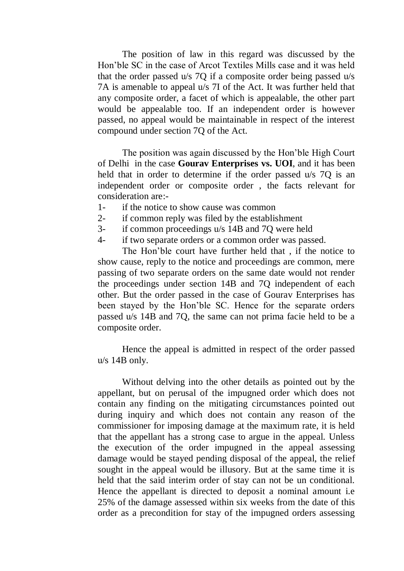The position of law in this regard was discussed by the Hon'ble SC in the case of Arcot Textiles Mills case and it was held that the order passed u/s 7Q if a composite order being passed u/s 7A is amenable to appeal u/s 7I of the Act. It was further held that any composite order, a facet of which is appealable, the other part would be appealable too. If an independent order is however passed, no appeal would be maintainable in respect of the interest compound under section 7Q of the Act.

The position was again discussed by the Hon'ble High Court of Delhi in the case **Gourav Enterprises vs. UOI**, and it has been held that in order to determine if the order passed u/s 70 is an independent order or composite order , the facts relevant for consideration are:-

- 1- if the notice to show cause was common
- 2- if common reply was filed by the establishment
- 3- if common proceedings u/s 14B and 7Q were held
- 4- if two separate orders or a common order was passed.

The Hon'ble court have further held that , if the notice to show cause, reply to the notice and proceedings are common, mere passing of two separate orders on the same date would not render the proceedings under section 14B and 7Q independent of each other. But the order passed in the case of Gourav Enterprises has been stayed by the Hon'ble SC. Hence for the separate orders passed u/s 14B and 7Q, the same can not prima facie held to be a composite order.

Hence the appeal is admitted in respect of the order passed u/s 14B only.

Without delving into the other details as pointed out by the appellant, but on perusal of the impugned order which does not contain any finding on the mitigating circumstances pointed out during inquiry and which does not contain any reason of the commissioner for imposing damage at the maximum rate, it is held that the appellant has a strong case to argue in the appeal. Unless the execution of the order impugned in the appeal assessing damage would be stayed pending disposal of the appeal, the relief sought in the appeal would be illusory. But at the same time it is held that the said interim order of stay can not be un conditional. Hence the appellant is directed to deposit a nominal amount i.e 25% of the damage assessed within six weeks from the date of this order as a precondition for stay of the impugned orders assessing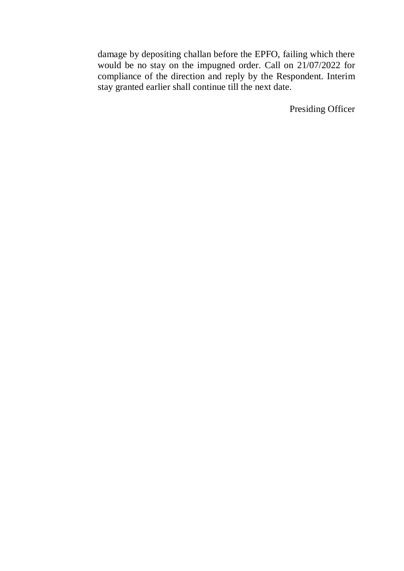damage by depositing challan before the EPFO, failing which there would be no stay on the impugned order. Call on 21/07/2022 for compliance of the direction and reply by the Respondent. Interim stay granted earlier shall continue till the next date.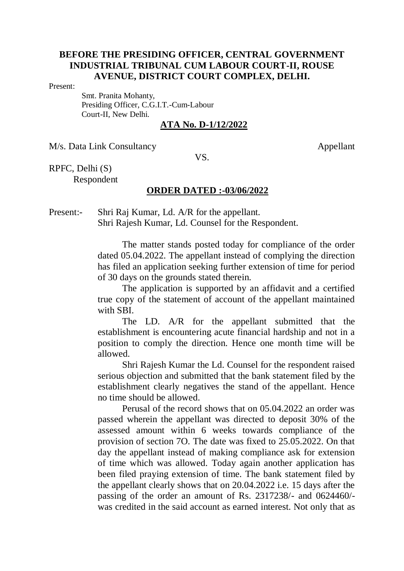#### Present:

 Smt. Pranita Mohanty, Presiding Officer, C.G.I.T.-Cum-Labour Court-II, New Delhi.

## **ATA No. D-1/12/2022**

M/s. Data Link Consultancy Appellant

VS.

RPFC, Delhi (S) Respondent

### **ORDER DATED :-03/06/2022**

Present:- Shri Raj Kumar, Ld. A/R for the appellant. Shri Rajesh Kumar, Ld. Counsel for the Respondent.

> The matter stands posted today for compliance of the order dated 05.04.2022. The appellant instead of complying the direction has filed an application seeking further extension of time for period of 30 days on the grounds stated therein.

> The application is supported by an affidavit and a certified true copy of the statement of account of the appellant maintained with SBI.

> The LD. A/R for the appellant submitted that the establishment is encountering acute financial hardship and not in a position to comply the direction. Hence one month time will be allowed.

> Shri Rajesh Kumar the Ld. Counsel for the respondent raised serious objection and submitted that the bank statement filed by the establishment clearly negatives the stand of the appellant. Hence no time should be allowed.

> Perusal of the record shows that on 05.04.2022 an order was passed wherein the appellant was directed to deposit 30% of the assessed amount within 6 weeks towards compliance of the provision of section 7O. The date was fixed to 25.05.2022. On that day the appellant instead of making compliance ask for extension of time which was allowed. Today again another application has been filed praying extension of time. The bank statement filed by the appellant clearly shows that on 20.04.2022 i.e. 15 days after the passing of the order an amount of Rs. 2317238/- and 0624460/ was credited in the said account as earned interest. Not only that as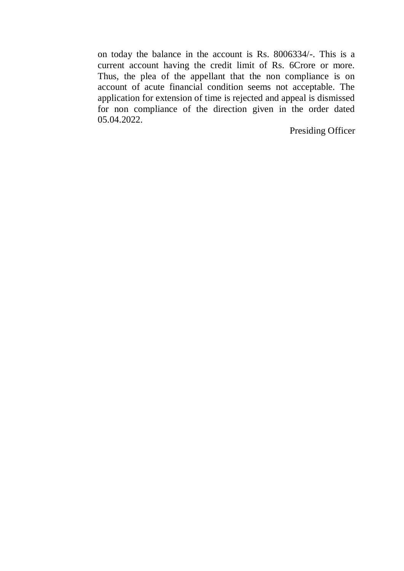on today the balance in the account is Rs. 8006334/-. This is a current account having the credit limit of Rs. 6Crore or more. Thus, the plea of the appellant that the non compliance is on account of acute financial condition seems not acceptable. The application for extension of time is rejected and appeal is dismissed for non compliance of the direction given in the order dated 05.04.2022.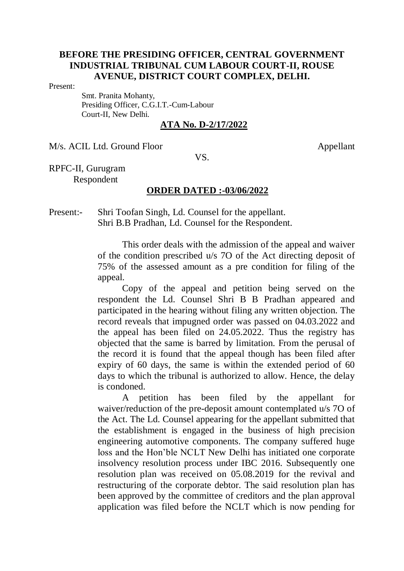#### Present:

 Smt. Pranita Mohanty, Presiding Officer, C.G.I.T.-Cum-Labour Court-II, New Delhi.

## **ATA No. D-2/17/2022**

M/s. ACIL Ltd. Ground Floor Appellant

VS.

RPFC-II, Gurugram Respondent

### **ORDER DATED :-03/06/2022**

Present:- Shri Toofan Singh, Ld. Counsel for the appellant. Shri B.B Pradhan, Ld. Counsel for the Respondent.

> This order deals with the admission of the appeal and waiver of the condition prescribed u/s 7O of the Act directing deposit of 75% of the assessed amount as a pre condition for filing of the appeal.

> Copy of the appeal and petition being served on the respondent the Ld. Counsel Shri B B Pradhan appeared and participated in the hearing without filing any written objection. The record reveals that impugned order was passed on 04.03.2022 and the appeal has been filed on 24.05.2022. Thus the registry has objected that the same is barred by limitation. From the perusal of the record it is found that the appeal though has been filed after expiry of 60 days, the same is within the extended period of 60 days to which the tribunal is authorized to allow. Hence, the delay is condoned.

> A petition has been filed by the appellant for waiver/reduction of the pre-deposit amount contemplated u/s 7O of the Act. The Ld. Counsel appearing for the appellant submitted that the establishment is engaged in the business of high precision engineering automotive components. The company suffered huge loss and the Hon'ble NCLT New Delhi has initiated one corporate insolvency resolution process under IBC 2016. Subsequently one resolution plan was received on 05.08.2019 for the revival and restructuring of the corporate debtor. The said resolution plan has been approved by the committee of creditors and the plan approval application was filed before the NCLT which is now pending for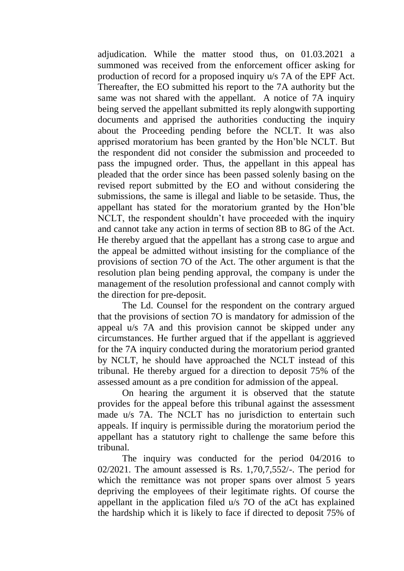adjudication. While the matter stood thus, on 01.03.2021 a summoned was received from the enforcement officer asking for production of record for a proposed inquiry u/s 7A of the EPF Act. Thereafter, the EO submitted his report to the 7A authority but the same was not shared with the appellant. A notice of 7A inquiry being served the appellant submitted its reply alongwith supporting documents and apprised the authorities conducting the inquiry about the Proceeding pending before the NCLT. It was also apprised moratorium has been granted by the Hon'ble NCLT. But the respondent did not consider the submission and proceeded to pass the impugned order. Thus, the appellant in this appeal has pleaded that the order since has been passed solenly basing on the revised report submitted by the EO and without considering the submissions, the same is illegal and liable to be setaside. Thus, the appellant has stated for the moratorium granted by the Hon'ble NCLT, the respondent shouldn't have proceeded with the inquiry and cannot take any action in terms of section 8B to 8G of the Act. He thereby argued that the appellant has a strong case to argue and the appeal be admitted without insisting for the compliance of the provisions of section 7O of the Act. The other argument is that the resolution plan being pending approval, the company is under the management of the resolution professional and cannot comply with the direction for pre-deposit.

The Ld. Counsel for the respondent on the contrary argued that the provisions of section 7O is mandatory for admission of the appeal u/s 7A and this provision cannot be skipped under any circumstances. He further argued that if the appellant is aggrieved for the 7A inquiry conducted during the moratorium period granted by NCLT, he should have approached the NCLT instead of this tribunal. He thereby argued for a direction to deposit 75% of the assessed amount as a pre condition for admission of the appeal.

On hearing the argument it is observed that the statute provides for the appeal before this tribunal against the assessment made u/s 7A. The NCLT has no jurisdiction to entertain such appeals. If inquiry is permissible during the moratorium period the appellant has a statutory right to challenge the same before this tribunal.

The inquiry was conducted for the period 04/2016 to 02/2021. The amount assessed is Rs. 1,70,7,552/-. The period for which the remittance was not proper spans over almost 5 years depriving the employees of their legitimate rights. Of course the appellant in the application filed u/s 7O of the aCt has explained the hardship which it is likely to face if directed to deposit 75% of